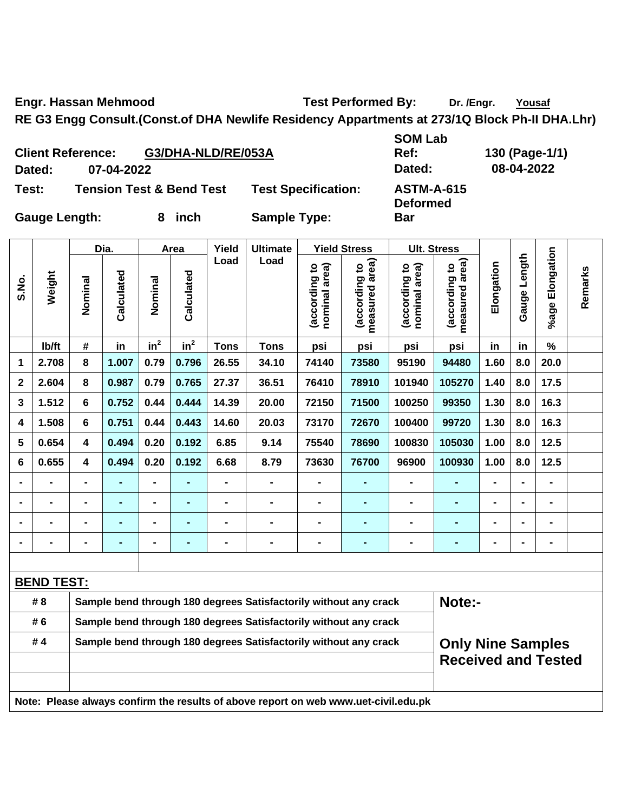Engr. Hassan Mehmood **Test Performed By:** Dr. /Engr. Yousaf

**Ref: 130 (Page-1/1)**  08-04-2022

**RE G3 Engg Consult.(Const.of DHA Newlife Residency Appartments at 273/1Q Block Ph-II DHA.Lhr)** 

| <b>Client Reference:</b>    | G3/DHA-NLD/RE/053A                  | <b>SOM Lab</b><br>Ref:     |                                      |  |
|-----------------------------|-------------------------------------|----------------------------|--------------------------------------|--|
| 07-04-2022<br><b>Dated:</b> |                                     |                            | Dated:                               |  |
| Test:                       | <b>Tension Test &amp; Bend Test</b> | <b>Test Specification:</b> | <b>ASTM-A-615</b><br><b>Deformed</b> |  |
| <b>Gauge Length:</b>        | inch                                | <b>Sample Type:</b>        | Bar                                  |  |

|             | Weight            | Dia.                                                             |                | Area                         |                 | Yield          | <b>Ultimate</b>                                                                     | <b>Yield Stress</b>            |                                    | <b>Ult. Stress</b>             |                                 |                |                   |                 |         |
|-------------|-------------------|------------------------------------------------------------------|----------------|------------------------------|-----------------|----------------|-------------------------------------------------------------------------------------|--------------------------------|------------------------------------|--------------------------------|---------------------------------|----------------|-------------------|-----------------|---------|
| S.No.       |                   | Nominal                                                          | Calculated     | Nominal                      | Calculated      | Load           | Load                                                                                | (according to<br>nominal area) | area)<br>(according to<br>measured | nominal area)<br>(according to | measured area)<br>(according to | Elongation     | Length<br>Gauge I | %age Elongation | Remarks |
|             | lb/ft             | #                                                                | in             | in <sup>2</sup>              | in <sup>2</sup> | <b>Tons</b>    | <b>Tons</b>                                                                         | psi                            | psi                                | psi                            | psi                             | in             | in                | $\%$            |         |
| 1           | 2.708             | 8                                                                | 1.007          | 0.79                         | 0.796           | 26.55          | 34.10                                                                               | 74140                          | 73580                              | 95190                          | 94480                           | 1.60           | 8.0               | 20.0            |         |
| $\mathbf 2$ | 2.604             | 8                                                                | 0.987          | 0.79                         | 0.765           | 27.37          | 36.51                                                                               | 76410                          | 78910                              | 101940                         | 105270                          | 1.40           | 8.0               | 17.5            |         |
| 3           | 1.512             | 6                                                                | 0.752          | 0.44                         | 0.444           | 14.39          | 20.00                                                                               | 72150                          | 71500                              | 100250                         | 99350                           | 1.30           | 8.0               | 16.3            |         |
| 4           | 1.508             | 6                                                                | 0.751          | 0.44                         | 0.443           | 14.60          | 20.03                                                                               | 73170                          | 72670                              | 100400                         | 99720                           | 1.30           | 8.0               | 16.3            |         |
| 5           | 0.654             | 4                                                                | 0.494          | 0.20                         | 0.192           | 6.85           | 9.14                                                                                | 75540                          | 78690                              | 100830                         | 105030                          | 1.00           | 8.0               | 12.5            |         |
| 6           | 0.655             | 4                                                                | 0.494          | 0.20                         | 0.192           | 6.68           | 8.79                                                                                | 73630                          | 76700                              | 96900                          | 100930                          | 1.00           | 8.0               | 12.5            |         |
|             | $\blacksquare$    | $\blacksquare$                                                   | ۰              | $\qquad \qquad \blacksquare$ |                 | $\blacksquare$ | $\blacksquare$                                                                      | $\blacksquare$                 | $\blacksquare$                     | $\blacksquare$                 | $\blacksquare$                  | $\blacksquare$ | $\blacksquare$    | $\blacksquare$  |         |
|             | $\blacksquare$    | $\blacksquare$                                                   | ۰              | $\blacksquare$               | ٠               | $\blacksquare$ | $\blacksquare$                                                                      | $\blacksquare$                 | $\blacksquare$                     | $\blacksquare$                 | $\blacksquare$                  | $\blacksquare$ |                   | $\blacksquare$  |         |
|             | $\blacksquare$    |                                                                  | $\blacksquare$ | $\blacksquare$               | -               | $\blacksquare$ | $\blacksquare$                                                                      | $\blacksquare$                 | $\blacksquare$                     | $\blacksquare$                 | $\blacksquare$                  | $\blacksquare$ |                   | $\blacksquare$  |         |
|             |                   |                                                                  |                | $\blacksquare$               | $\blacksquare$  | $\blacksquare$ | $\blacksquare$                                                                      | $\blacksquare$                 | $\blacksquare$                     | $\blacksquare$                 | $\blacksquare$                  | $\blacksquare$ |                   | $\blacksquare$  |         |
|             |                   |                                                                  |                |                              |                 |                |                                                                                     |                                |                                    |                                |                                 |                |                   |                 |         |
|             | <b>BEND TEST:</b> |                                                                  |                |                              |                 |                |                                                                                     |                                |                                    |                                |                                 |                |                   |                 |         |
|             | # 8               |                                                                  |                |                              |                 |                | Sample bend through 180 degrees Satisfactorily without any crack                    |                                |                                    |                                | Note:-                          |                |                   |                 |         |
|             | # 6               |                                                                  |                |                              |                 |                | Sample bend through 180 degrees Satisfactorily without any crack                    |                                |                                    |                                |                                 |                |                   |                 |         |
|             | #4                | Sample bend through 180 degrees Satisfactorily without any crack |                |                              |                 |                |                                                                                     |                                |                                    |                                | <b>Only Nine Samples</b>        |                |                   |                 |         |
|             |                   |                                                                  |                |                              |                 |                |                                                                                     |                                |                                    | <b>Received and Tested</b>     |                                 |                |                   |                 |         |
|             |                   |                                                                  |                |                              |                 |                | Note: Please always confirm the results of above report on web www.uet-civil.edu.pk |                                |                                    |                                |                                 |                |                   |                 |         |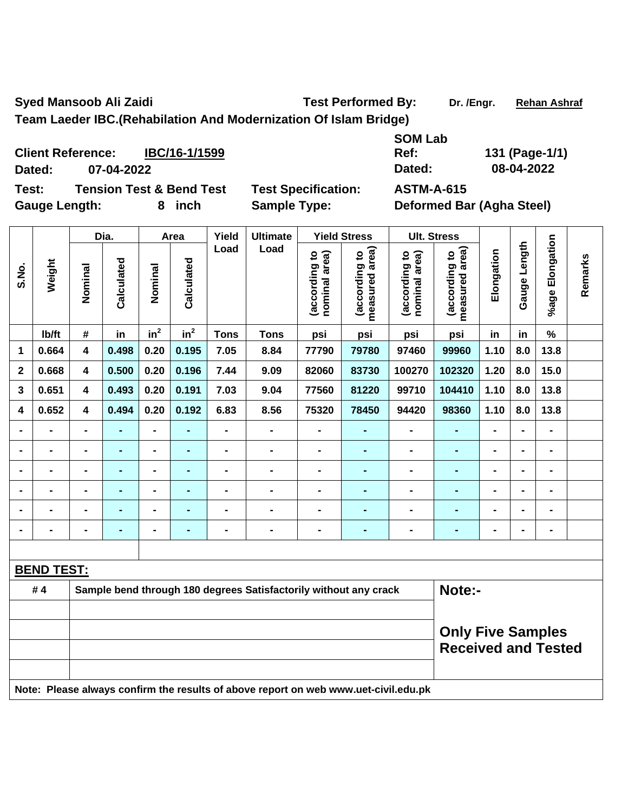Syed Mansoob Ali Zaidi **Nansiya Ali Zaidi** Test Performed By: Dr. /Engr. Rehan Ashraf

**Team Laeder IBC.(Rehabilation And Modernization Of Islam Bridge)** 

**SOM Lab Ref: 131 (Page-1/1)** 

**Dated: 07-04-2022 Dated: 08-04-2022 Test: Tension Test & Bend Test Test Specification: ASTM-A-615** 

**Client Reference: IBC/16-1/1599**

Gauge Length: 8 inch Sample Type: Deformed Bar (Agha Steel)

|                | Weight            | Dia.                                                                       |                | Area                     |                | Yield                          | <b>Ultimate</b>                                                                     | <b>Yield Stress</b>            |                                 | <b>Ult. Stress</b> |                |                 |                |                |  |
|----------------|-------------------|----------------------------------------------------------------------------|----------------|--------------------------|----------------|--------------------------------|-------------------------------------------------------------------------------------|--------------------------------|---------------------------------|--------------------|----------------|-----------------|----------------|----------------|--|
| S.No.          |                   | Calculated<br>Calculated<br>Nominal<br>Nominal                             |                | Load                     | Load           | (according to<br>nominal area) | area)<br>(according to<br>measured                                                  | nominal area)<br>(according to | measured area)<br>(according to | Elongation         | Gauge Length   | %age Elongation | Remarks        |                |  |
|                | Ib/ft             | $\pmb{\#}$                                                                 | in             | $in^2$                   | $in^2$         | <b>Tons</b>                    | <b>Tons</b>                                                                         | psi                            | psi                             | psi                | psi            | in              | in             | $\%$           |  |
| 1              | 0.664             | 4                                                                          | 0.498          | 0.20                     | 0.195          | 7.05                           | 8.84                                                                                | 77790                          | 79780                           | 97460              | 99960          | 1.10            | 8.0            | 13.8           |  |
| $\mathbf 2$    | 0.668             | 4                                                                          | 0.500          | 0.20                     | 0.196          | 7.44                           | 9.09                                                                                | 82060                          | 83730                           | 100270             | 102320         | 1.20            | 8.0            | 15.0           |  |
| 3              | 0.651             | 4                                                                          | 0.493          | 0.20                     | 0.191          | 7.03                           | 9.04                                                                                | 77560                          | 81220                           | 99710              | 104410         | 1.10            | 8.0            | 13.8           |  |
| 4              | 0.652             | 4                                                                          | 0.494          | 0.20                     | 0.192          | 6.83                           | 8.56                                                                                | 75320                          | 78450                           | 94420              | 98360          | 1.10            | 8.0            | 13.8           |  |
|                | $\blacksquare$    | $\blacksquare$                                                             | $\blacksquare$ | $\blacksquare$           |                | $\blacksquare$                 | $\blacksquare$                                                                      | $\blacksquare$                 | $\blacksquare$                  |                    | $\blacksquare$ | $\blacksquare$  |                | $\overline{a}$ |  |
| $\blacksquare$ | $\blacksquare$    | $\blacksquare$                                                             | ۰              | $\blacksquare$           | $\blacksquare$ | $\blacksquare$                 | $\blacksquare$                                                                      | $\blacksquare$                 | $\blacksquare$                  | $\blacksquare$     | $\blacksquare$ | $\blacksquare$  | $\blacksquare$ | $\blacksquare$ |  |
|                | $\blacksquare$    | $\blacksquare$                                                             | ۰              | $\blacksquare$           |                | $\blacksquare$                 | $\blacksquare$                                                                      | $\blacksquare$                 | $\blacksquare$                  | $\blacksquare$     | $\blacksquare$ | $\blacksquare$  |                | $\blacksquare$ |  |
|                | $\blacksquare$    | $\blacksquare$                                                             | $\blacksquare$ | $\overline{\phantom{0}}$ | -              | $\blacksquare$                 | $\blacksquare$                                                                      | $\blacksquare$                 | $\blacksquare$                  | $\blacksquare$     | $\blacksquare$ | $\blacksquare$  | $\blacksquare$ | $\blacksquare$ |  |
|                | $\blacksquare$    |                                                                            | $\blacksquare$ | $\blacksquare$           | $\blacksquare$ | $\blacksquare$                 | $\blacksquare$                                                                      | $\blacksquare$                 | $\blacksquare$                  | $\blacksquare$     | $\blacksquare$ | $\blacksquare$  |                | $\blacksquare$ |  |
|                | $\blacksquare$    |                                                                            |                | -                        |                | $\blacksquare$                 | $\blacksquare$                                                                      | $\blacksquare$                 | $\blacksquare$                  |                    | $\blacksquare$ |                 |                | $\blacksquare$ |  |
|                |                   |                                                                            |                |                          |                |                                |                                                                                     |                                |                                 |                    |                |                 |                |                |  |
|                | <b>BEND TEST:</b> |                                                                            |                |                          |                |                                |                                                                                     |                                |                                 |                    |                |                 |                |                |  |
|                | #4                | Note:-<br>Sample bend through 180 degrees Satisfactorily without any crack |                |                          |                |                                |                                                                                     |                                |                                 |                    |                |                 |                |                |  |
|                |                   | <b>Only Five Samples</b><br><b>Received and Tested</b>                     |                |                          |                |                                |                                                                                     |                                |                                 |                    |                |                 |                |                |  |
|                |                   |                                                                            |                |                          |                |                                | Note: Please always confirm the results of above report on web www.uet-civil.edu.pk |                                |                                 |                    |                |                 |                |                |  |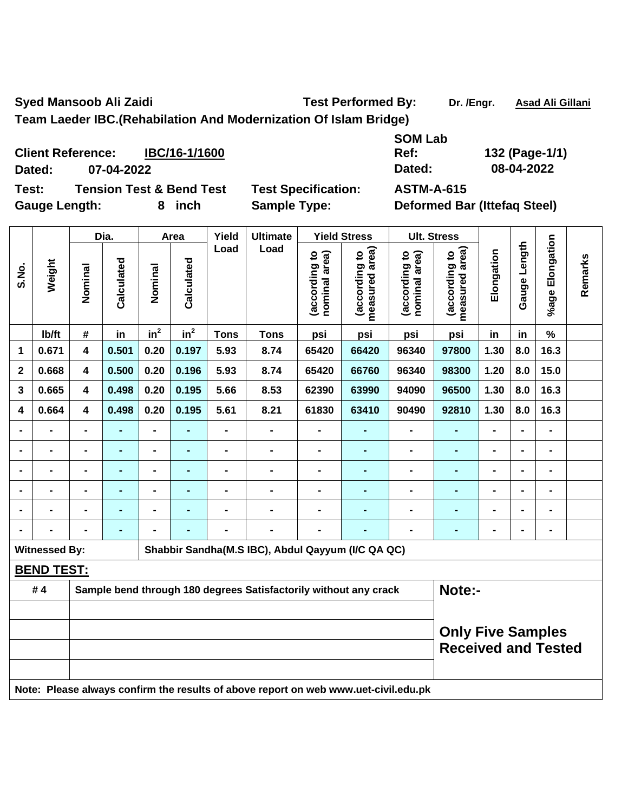Syed Mansoob Ali Zaidi **Nansiya Ali Zaidi Nansiya Asad Ali Gillani** Test Performed By: Dr. /Engr. Asad Ali Gillani

**Team Laeder IBC.(Rehabilation And Modernization Of Islam Bridge)** 

**SOM Lab Ref: 132 (Page-1/1) Dated: 07-04-2022 Dated: 08-04-2022** 

**Test: Tension Test & Bend Test Test Specification: ASTM-A-615** 

**Client Reference: IBC/16-1/1600**

Gauge Length: 8 inch Sample Type: Deformed Bar (Ittefaq Steel)

|                | Weight               | Dia.                                                   |                | Area                     |                 | Yield                        | <b>Ultimate</b>                                                                     | <b>Yield Stress</b>            |                                    | <b>Ult. Stress</b>             |                                 |                |                |                 |         |
|----------------|----------------------|--------------------------------------------------------|----------------|--------------------------|-----------------|------------------------------|-------------------------------------------------------------------------------------|--------------------------------|------------------------------------|--------------------------------|---------------------------------|----------------|----------------|-----------------|---------|
| S.No.          |                      | Nominal                                                | Calculated     | Nominal                  | Calculated      | Load                         | Load                                                                                | (according to<br>nominal area) | area)<br>(according to<br>measured | nominal area)<br>(according to | measured area)<br>(according to | Elongation     | Gauge Length   | %age Elongation | Remarks |
|                | lb/ft                | #                                                      | in             | in <sup>2</sup>          | in <sup>2</sup> | <b>Tons</b>                  | <b>Tons</b>                                                                         | psi                            | psi                                | psi                            | psi                             | in             | in             | $\%$            |         |
| 1              | 0.671                | 4                                                      | 0.501          | 0.20                     | 0.197           | 5.93                         | 8.74                                                                                | 65420                          | 66420                              | 96340                          | 97800                           | 1.30           | 8.0            | 16.3            |         |
| $\overline{2}$ | 0.668                | 4                                                      | 0.500          | 0.20                     | 0.196           | 5.93                         | 8.74                                                                                | 65420                          | 66760                              | 96340                          | 98300                           | 1.20           | 8.0            | 15.0            |         |
| 3              | 0.665                | $\overline{\mathbf{4}}$                                | 0.498          | 0.20                     | 0.195           | 5.66                         | 8.53                                                                                | 62390                          | 63990                              | 94090                          | 96500                           | 1.30           | 8.0            | 16.3            |         |
| 4              | 0.664                | 4                                                      | 0.498          | 0.20                     | 0.195           | 5.61                         | 8.21                                                                                | 61830                          | 63410                              | 90490                          | 92810                           | 1.30           | 8.0            | 16.3            |         |
|                | $\blacksquare$       | $\blacksquare$                                         | $\blacksquare$ | $\blacksquare$           | ٠               | $\blacksquare$               | $\blacksquare$                                                                      | $\blacksquare$                 | $\blacksquare$                     | $\blacksquare$                 | $\blacksquare$                  | $\blacksquare$ | $\blacksquare$ | $\blacksquare$  |         |
|                | $\blacksquare$       | $\blacksquare$                                         | ٠              | $\overline{\phantom{0}}$ | $\blacksquare$  | $\blacksquare$               | $\blacksquare$                                                                      | $\blacksquare$                 | -                                  | $\blacksquare$                 | $\blacksquare$                  | $\blacksquare$ | $\blacksquare$ | $\blacksquare$  |         |
|                | $\blacksquare$       | $\blacksquare$                                         | ٠              | $\overline{\phantom{0}}$ | $\blacksquare$  | $\qquad \qquad \blacksquare$ | $\blacksquare$                                                                      | $\blacksquare$                 | $\blacksquare$                     | $\blacksquare$                 | $\blacksquare$                  | $\blacksquare$ | $\blacksquare$ | $\blacksquare$  |         |
|                | $\blacksquare$       | $\blacksquare$                                         | ۰              | $\blacksquare$           | $\blacksquare$  | $\qquad \qquad \blacksquare$ | $\blacksquare$                                                                      | $\blacksquare$                 | $\blacksquare$                     | $\blacksquare$                 | $\blacksquare$                  |                |                | $\blacksquare$  |         |
|                |                      |                                                        |                | $\blacksquare$           |                 |                              |                                                                                     |                                |                                    |                                |                                 |                |                |                 |         |
| $\blacksquare$ |                      | -                                                      | ۰              | $\blacksquare$           | $\blacksquare$  | -                            | $\blacksquare$                                                                      | $\blacksquare$                 | ۰                                  | $\blacksquare$                 | $\blacksquare$                  | $\blacksquare$ |                | $\blacksquare$  |         |
|                | <b>Witnessed By:</b> |                                                        |                |                          |                 |                              | Shabbir Sandha(M.S IBC), Abdul Qayyum (I/C QA QC)                                   |                                |                                    |                                |                                 |                |                |                 |         |
|                | <b>BEND TEST:</b>    |                                                        |                |                          |                 |                              |                                                                                     |                                |                                    |                                |                                 |                |                |                 |         |
|                | #4                   |                                                        |                |                          |                 |                              | Sample bend through 180 degrees Satisfactorily without any crack                    |                                |                                    |                                | Note:-                          |                |                |                 |         |
|                |                      |                                                        |                |                          |                 |                              |                                                                                     |                                |                                    |                                |                                 |                |                |                 |         |
|                |                      | <b>Only Five Samples</b><br><b>Received and Tested</b> |                |                          |                 |                              |                                                                                     |                                |                                    |                                |                                 |                |                |                 |         |
|                |                      |                                                        |                |                          |                 |                              | Note: Please always confirm the results of above report on web www.uet-civil.edu.pk |                                |                                    |                                |                                 |                |                |                 |         |